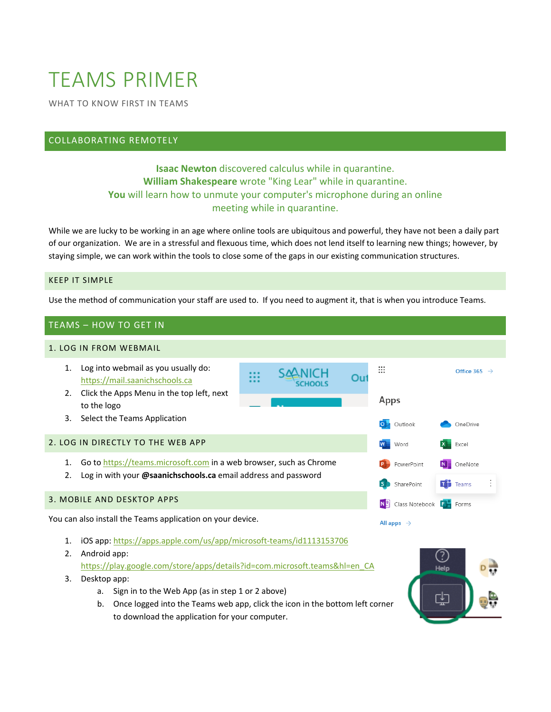# TEAMS PRIMER

WHAT TO KNOW FIRST IN TEAMS

# COLLABORATING REMOTELY

# **Isaac Newton** discovered calculus while in quarantine. **William Shakespeare** wrote "King Lear" while in quarantine. **You** will learn how to unmute your computer's microphone during an online meeting while in quarantine.

While we are lucky to be working in an age where online tools are ubiquitous and powerful, they have not been a daily part of our organization. We are in a stressful and flexuous time, which does not lend itself to learning new things; however, by staying simple, we can work within the tools to close some of the gaps in our existing communication structures.

#### KEEP IT SIMPLE

Use the method of communication your staff are used to. If you need to augment it, that is when you introduce Teams.

#### TEAMS – HOW TO GET IN

#### 1. LOG IN FROM WEBMAIL



You can also install the Teams application on your device.

- 1. iOS app:<https://apps.apple.com/us/app/microsoft-teams/id1113153706>
- 2. Android app: [https://play.google.com/store/apps/details?id=com.microsoft.teams&hl=en\\_CA](https://play.google.com/store/apps/details?id=com.microsoft.teams&hl=en_CA)
- 3. Desktop app:
	- a. Sign in to the Web App (as in step 1 or 2 above)
	- b. Once logged into the Teams web app, click the icon in the bottom left corner to download the application for your computer.



All apps  $\rightarrow$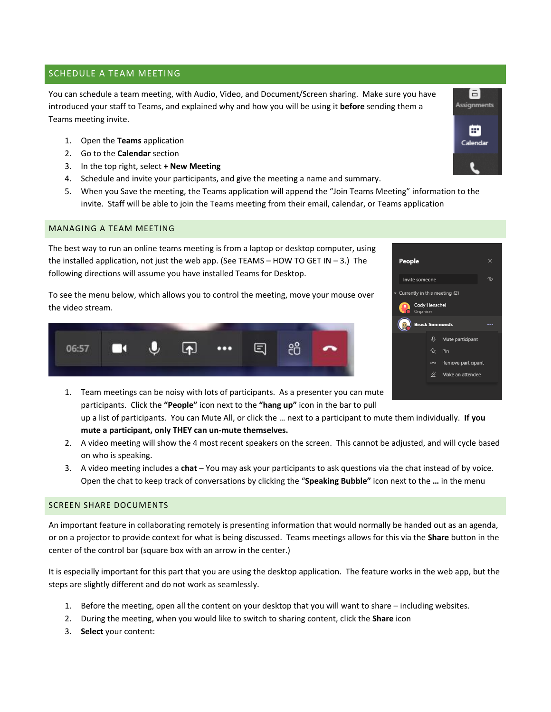## SCHEDULE A TEAM MEETING

You can schedule a team meeting, with Audio, Video, and Document/Screen sharing. Make sure you have introduced your staff to Teams, and explained why and how you will be using it **before** sending them a Teams meeting invite.

- 1. Open the **Teams** application
- 2. Go to the **Calendar** section
- 3. In the top right, select **+ New Meeting**
- 4. Schedule and invite your participants, and give the meeting a name and summary.
- 5. When you Save the meeting, the Teams application will append the "Join Teams Meeting" information to the invite. Staff will be able to join the Teams meeting from their email, calendar, or Teams application

#### MANAGING A TEAM MEETING

The best way to run an online teams meeting is from a laptop or desktop computer, using the installed application, not just the web app. (See TEAMS – HOW TO GET IN – 3.) The following directions will assume you have installed Teams for Desktop.

To see the menu below, which allows you to control the meeting, move your mouse over the video stream.





1. Team meetings can be noisy with lots of participants. As a presenter you can mute participants. Click the **"People"** icon next to the **"hang up"** icon in the bar to pull

up a list of participants. You can Mute All, or click the … next to a participant to mute them individually. **If you mute a participant, only THEY can un-mute themselves.**

- 2. A video meeting will show the 4 most recent speakers on the screen. This cannot be adjusted, and will cycle based on who is speaking.
- 3. A video meeting includes a **chat** You may ask your participants to ask questions via the chat instead of by voice. Open the chat to keep track of conversations by clicking the "**Speaking Bubble"** icon next to the **…** in the menu

#### SCREEN SHARE DOCUMENTS

An important feature in collaborating remotely is presenting information that would normally be handed out as an agenda, or on a projector to provide context for what is being discussed. Teams meetings allows for this via the **Share** button in the center of the control bar (square box with an arrow in the center.)

It is especially important for this part that you are using the desktop application. The feature works in the web app, but the steps are slightly different and do not work as seamlessly.

- 1. Before the meeting, open all the content on your desktop that you will want to share including websites.
- 2. During the meeting, when you would like to switch to sharing content, click the **Share** icon
- 3. **Select** your content: